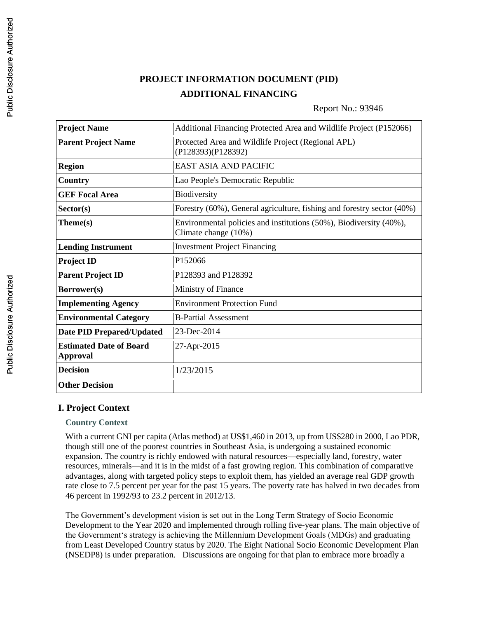# **PROJECT INFORMATION DOCUMENT (PID) ADDITIONAL FINANCING**

### Report No.: 93946

| <b>Project Name</b>                               | Additional Financing Protected Area and Wildlife Project (P152066)                         |  |
|---------------------------------------------------|--------------------------------------------------------------------------------------------|--|
| <b>Parent Project Name</b>                        | Protected Area and Wildlife Project (Regional APL)<br>(P128393)(P128392)                   |  |
| <b>Region</b>                                     | <b>EAST ASIA AND PACIFIC</b>                                                               |  |
| <b>Country</b>                                    | Lao People's Democratic Republic                                                           |  |
| <b>GEF Focal Area</b>                             | Biodiversity                                                                               |  |
| Sector(s)                                         | Forestry (60%), General agriculture, fishing and forestry sector (40%)                     |  |
| Theme(s)                                          | Environmental policies and institutions (50%), Biodiversity (40%),<br>Climate change (10%) |  |
| <b>Lending Instrument</b>                         | <b>Investment Project Financing</b>                                                        |  |
| <b>Project ID</b>                                 | P152066                                                                                    |  |
| <b>Parent Project ID</b>                          | P128393 and P128392                                                                        |  |
| Borrower(s)                                       | Ministry of Finance                                                                        |  |
| <b>Implementing Agency</b>                        | <b>Environment Protection Fund</b>                                                         |  |
| <b>Environmental Category</b>                     | <b>B-Partial Assessment</b>                                                                |  |
| <b>Date PID Prepared/Updated</b>                  | 23-Dec-2014                                                                                |  |
| <b>Estimated Date of Board</b><br><b>Approval</b> | 27-Apr-2015                                                                                |  |
| <b>Decision</b>                                   | 1/23/2015                                                                                  |  |
| <b>Other Decision</b>                             |                                                                                            |  |

### **I. Project Context**

#### **Country Context**

With a current GNI per capita (Atlas method) at US\$1,460 in 2013, up from US\$280 in 2000, Lao PDR, though still one of the poorest countries in Southeast Asia, is undergoing a sustained economic expansion. The country is richly endowed with natural resources—especially land, forestry, water resources, minerals—and it is in the midst of a fast growing region. This combination of comparative advantages, along with targeted policy steps to exploit them, has yielded an average real GDP growth rate close to 7.5 percent per year for the past 15 years. The poverty rate has halved in two decades from 46 percent in 1992/93 to 23.2 percent in 2012/13.

The Government's development vision is set out in the Long Term Strategy of Socio Economic Development to the Year 2020 and implemented through rolling five-year plans. The main objective of the Government's strategy is achieving the Millennium Development Goals (MDGs) and graduating from Least Developed Country status by 2020. The Eight National Socio Economic Development Plan (NSEDP8) is under preparation. Discussions are ongoing for that plan to embrace more broadly a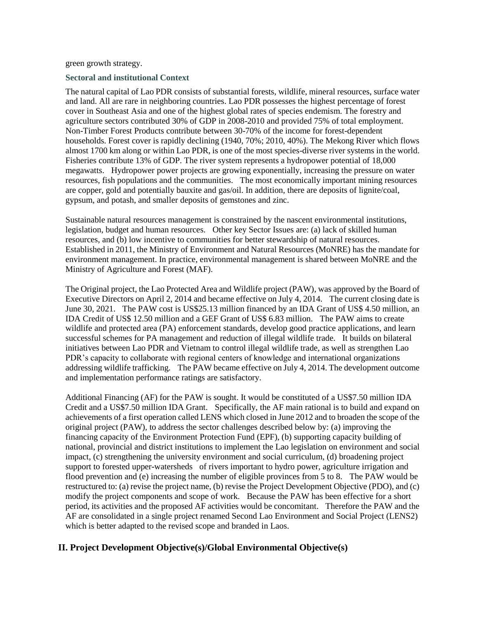green growth strategy.

#### **Sectoral and institutional Context**

The natural capital of Lao PDR consists of substantial forests, wildlife, mineral resources, surface water and land. All are rare in neighboring countries. Lao PDR possesses the highest percentage of forest cover in Southeast Asia and one of the highest global rates of species endemism. The forestry and agriculture sectors contributed 30% of GDP in 2008-2010 and provided 75% of total employment. Non-Timber Forest Products contribute between 30-70% of the income for forest-dependent households. Forest cover is rapidly declining (1940, 70%; 2010, 40%). The Mekong River which flows almost 1700 km along or within Lao PDR, is one of the most species-diverse river systems in the world. Fisheries contribute 13% of GDP. The river system represents a hydropower potential of 18,000 megawatts. Hydropower power projects are growing exponentially, increasing the pressure on water resources, fish populations and the communities. The most economically important mining resources are copper, gold and potentially bauxite and gas/oil. In addition, there are deposits of lignite/coal, gypsum, and potash, and smaller deposits of gemstones and zinc.

Sustainable natural resources management is constrained by the nascent environmental institutions, legislation, budget and human resources. Other key Sector Issues are: (a) lack of skilled human resources, and (b) low incentive to communities for better stewardship of natural resources. Established in 2011, the Ministry of Environment and Natural Resources (MoNRE) has the mandate for environment management. In practice, environmental management is shared between MoNRE and the Ministry of Agriculture and Forest (MAF).

The Original project, the Lao Protected Area and Wildlife project (PAW), was approved by the Board of Executive Directors on April 2, 2014 and became effective on July 4, 2014. The current closing date is June 30, 2021. The PAW cost is US\$25.13 million financed by an IDA Grant of US\$ 4.50 million, an IDA Credit of US\$ 12.50 million and a GEF Grant of US\$ 6.83 million. The PAW aims to create wildlife and protected area (PA) enforcement standards, develop good practice applications, and learn successful schemes for PA management and reduction of illegal wildlife trade. It builds on bilateral initiatives between Lao PDR and Vietnam to control illegal wildlife trade, as well as strengthen Lao PDR's capacity to collaborate with regional centers of knowledge and international organizations addressing wildlife trafficking. The PAW became effective on July 4, 2014. The development outcome and implementation performance ratings are satisfactory.

Additional Financing (AF) for the PAW is sought. It would be constituted of a US\$7.50 million IDA Credit and a US\$7.50 million IDA Grant. Specifically, the AF main rational is to build and expand on achievements of a first operation called LENS which closed in June 2012 and to broaden the scope of the original project (PAW), to address the sector challenges described below by: (a) improving the financing capacity of the Environment Protection Fund (EPF), (b) supporting capacity building of national, provincial and district institutions to implement the Lao legislation on environment and social impact, (c) strengthening the university environment and social curriculum, (d) broadening project support to forested upper-watersheds of rivers important to hydro power, agriculture irrigation and flood prevention and (e) increasing the number of eligible provinces from 5 to 8. The PAW would be restructured to: (a) revise the project name, (b) revise the Project Development Objective (PDO), and (c) modify the project components and scope of work. Because the PAW has been effective for a short period, its activities and the proposed AF activities would be concomitant. Therefore the PAW and the AF are consolidated in a single project renamed Second Lao Environment and Social Project (LENS2) which is better adapted to the revised scope and branded in Laos.

### **II. Project Development Objective(s)/Global Environmental Objective(s)**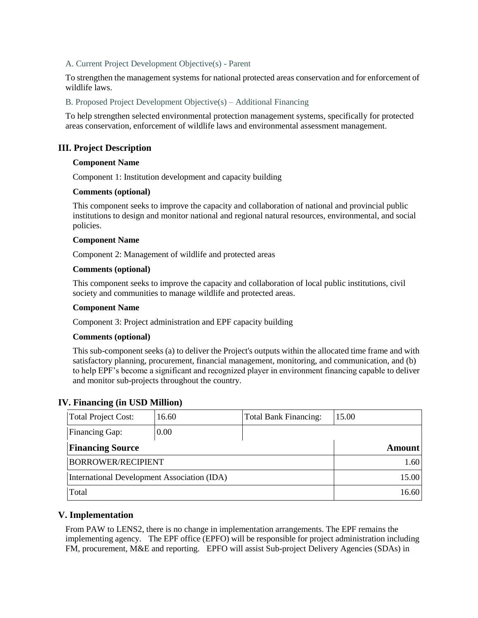#### A. Current Project Development Objective(s) - Parent

To strengthen the management systems for national protected areas conservation and for enforcement of wildlife laws.

B. Proposed Project Development Objective(s) – Additional Financing

To help strengthen selected environmental protection management systems, specifically for protected areas conservation, enforcement of wildlife laws and environmental assessment management.

### **III. Project Description**

#### **Component Name**

Component 1: Institution development and capacity building

#### **Comments (optional)**

This component seeks to improve the capacity and collaboration of national and provincial public institutions to design and monitor national and regional natural resources, environmental, and social policies.

#### **Component Name**

Component 2: Management of wildlife and protected areas

#### **Comments (optional)**

This component seeks to improve the capacity and collaboration of local public institutions, civil society and communities to manage wildlife and protected areas.

#### **Component Name**

Component 3: Project administration and EPF capacity building

#### **Comments (optional)**

This sub-component seeks (a) to deliver the Project's outputs within the allocated time frame and with satisfactory planning, procurement, financial management, monitoring, and communication, and (b) to help EPF's become a significant and recognized player in environment financing capable to deliver and monitor sub-projects throughout the country.

#### **IV. Financing (in USD Million)**

| <b>Total Project Cost:</b>                  | 16.60 | Total Bank Financing: | 15.00         |
|---------------------------------------------|-------|-----------------------|---------------|
| <b>Financing Gap:</b>                       | 0.00  |                       |               |
| <b>Financing Source</b>                     |       |                       | <b>Amount</b> |
| <b>BORROWER/RECIPIENT</b>                   |       |                       | 1.60          |
| International Development Association (IDA) |       |                       | 15.00         |
| Total                                       |       |                       | 16.60         |

#### **V. Implementation**

From PAW to LENS2, there is no change in implementation arrangements. The EPF remains the implementing agency. The EPF office (EPFO) will be responsible for project administration including FM, procurement, M&E and reporting. EPFO will assist Sub-project Delivery Agencies (SDAs) in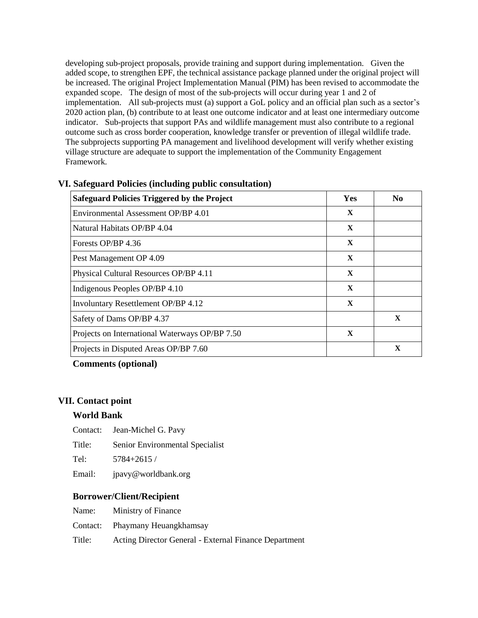developing sub-project proposals, provide training and support during implementation. Given the added scope, to strengthen EPF, the technical assistance package planned under the original project will be increased. The original Project Implementation Manual (PIM) has been revised to accommodate the expanded scope. The design of most of the sub-projects will occur during year 1 and 2 of implementation. All sub-projects must (a) support a GoL policy and an official plan such as a sector's 2020 action plan, (b) contribute to at least one outcome indicator and at least one intermediary outcome indicator. Sub-projects that support PAs and wildlife management must also contribute to a regional outcome such as cross border cooperation, knowledge transfer or prevention of illegal wildlife trade. The subprojects supporting PA management and livelihood development will verify whether existing village structure are adequate to support the implementation of the Community Engagement Framework.

| <b>Safeguard Policies Triggered by the Project</b> | Yes         | No          |
|----------------------------------------------------|-------------|-------------|
| Environmental Assessment OP/BP 4.01                | $\mathbf X$ |             |
| Natural Habitats OP/BP 4.04                        | $\mathbf X$ |             |
| Forests OP/BP 4.36                                 | $\mathbf X$ |             |
| Pest Management OP 4.09                            | $\mathbf X$ |             |
| Physical Cultural Resources OP/BP 4.11             | $\mathbf X$ |             |
| Indigenous Peoples OP/BP 4.10                      | $\mathbf X$ |             |
| Involuntary Resettlement OP/BP 4.12                | X           |             |
| Safety of Dams OP/BP 4.37                          |             | $\mathbf x$ |
| Projects on International Waterways OP/BP 7.50     | $\mathbf X$ |             |
| Projects in Disputed Areas OP/BP 7.60              |             | X           |

#### **VI. Safeguard Policies (including public consultation)**

### **Comments (optional)**

#### **VII. Contact point**

#### **World Bank**

- Contact: Jean-Michel G. Pavy
- Title: Senior Environmental Specialist
- Tel: 5784+2615 /
- Email: jpavy@worldbank.org

### **Borrower/Client/Recipient**

- Name: Ministry of Finance
- Contact: Phaymany Heuangkhamsay
- Title: Acting Director General External Finance Department